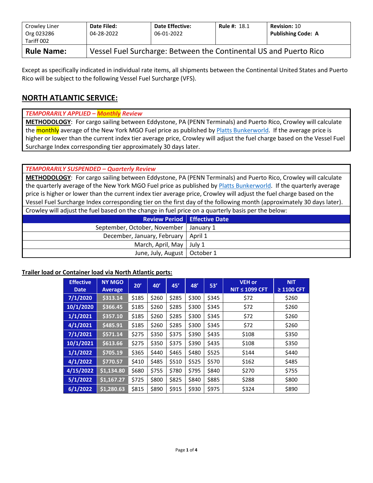| Crowley Liner<br>Org 023286<br>Tariff 002 | Date Filed:<br>04-28-2022 | <b>Date Effective:</b><br>06-01-2022                              | <b>Rule #: 18.1</b> | <b>Revision: 10</b><br><b>Publishing Code: A</b> |  |  |  |  |  |
|-------------------------------------------|---------------------------|-------------------------------------------------------------------|---------------------|--------------------------------------------------|--|--|--|--|--|
| <b>Rule Name:</b>                         |                           | Vessel Fuel Surcharge: Between the Continental US and Puerto Rico |                     |                                                  |  |  |  |  |  |

Except as specifically indicated in individual rate items, all shipments between the Continental United States and Puerto Rico will be subject to the following Vessel Fuel Surcharge (VFS).

# **NORTH ATLANTIC SERVICE:**

#### *TEMPORARILY APPLIED – Monthly Review*

**METHODOLOGY**: For cargo sailing between Eddystone, PA (PENN Terminals) and Puerto Rico, Crowley will calculate the monthly average of the New York MGO Fuel price as published b[y Platts Bunkerworld.](http://www.bunkerworld.com/) If the average price is higher or lower than the current index tier average price, Crowley will adjust the fuel charge based on the Vessel Fuel Surcharge Index corresponding tier approximately 30 days later.

### *TEMPORARILY SUSPENDED – Quarterly Review*

**METHODOLOGY**: For cargo sailing between Eddystone, PA (PENN Terminals) and Puerto Rico, Crowley will calculate the quarterly average of the New York MGO Fuel price as published by [Platts Bunkerworld.](http://www.bunkerworld.com/) If the quarterly average price is higher or lower than the current index tier average price, Crowley will adjust the fuel charge based on the Vessel Fuel Surcharge Index corresponding tier on the first day of the following month (approximately 30 days later). Crowley will adjust the fuel based on the change in fuel price on a quarterly basis per the below:

| <b>Review Period</b> Effective Date      |  |
|------------------------------------------|--|
| September, October, November   January 1 |  |
| December, January, February   April 1    |  |
| March, April, May   July 1               |  |
| June, July, August   October 1           |  |

### **Trailer load or Container load via North Atlantic ports:**

| <b>Effective</b><br><b>Date</b> | <b>NY MGO</b><br>Average | 20'   | 40'   | 45'   | 48'   | 53'   | <b>VEH or</b><br><b>NIT ≤ 1099 CFT</b> | <b>NIT</b><br>$\geq$ 1100 CFT |
|---------------------------------|--------------------------|-------|-------|-------|-------|-------|----------------------------------------|-------------------------------|
| 7/1/2020                        | \$313.14                 | \$185 | \$260 | \$285 | \$300 | \$345 | \$72                                   | \$260                         |
| 10/1/2020                       | \$366.45                 | \$185 | \$260 | \$285 | \$300 | \$345 | \$72                                   | \$260                         |
| 1/1/2021                        | \$357.10                 | \$185 | \$260 | \$285 | \$300 | \$345 | \$72                                   | \$260                         |
| 4/1/2021                        | \$485.91                 | \$185 | \$260 | \$285 | \$300 | \$345 | \$72                                   | \$260                         |
| 7/1/2021                        | \$571.14                 | \$275 | \$350 | \$375 | \$390 | \$435 | \$108                                  | \$350                         |
| 10/1/2021                       | \$613.66                 | \$275 | \$350 | \$375 | \$390 | \$435 | \$108                                  | \$350                         |
| 1/1/2022                        | \$705.19                 | \$365 | \$440 | \$465 | \$480 | \$525 | \$144                                  | \$440                         |
| 4/1/2022                        | \$770.57                 | \$410 | \$485 | \$510 | \$525 | \$570 | \$162                                  | \$485                         |
| 4/15/2022                       | \$1,134.80               | \$680 | \$755 | \$780 | \$795 | \$840 | \$270                                  | \$755                         |
| 5/1/2022                        | \$1,167.27               | \$725 | \$800 | \$825 | \$840 | \$885 | \$288                                  | \$800                         |
| 6/1/2022                        | \$1,280.63               | \$815 | \$890 | \$915 | \$930 | \$975 | \$324                                  | \$890                         |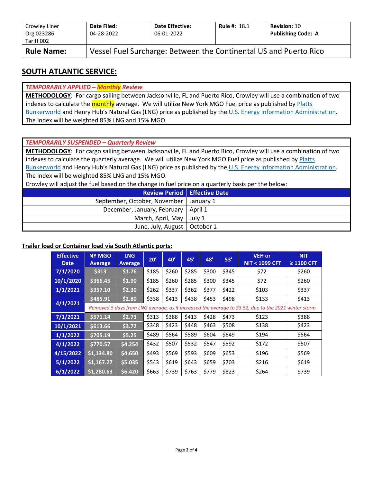| Crowley Liner<br>Org 023286<br>Tariff 002 | Date Filed:<br>04-28-2022                                         | <b>Date Effective:</b><br>06-01-2022 | <b>Rule #: 18.1</b> | <b>Revision: 10</b><br><b>Publishing Code: A</b> |  |  |  |  |  |
|-------------------------------------------|-------------------------------------------------------------------|--------------------------------------|---------------------|--------------------------------------------------|--|--|--|--|--|
| <b>Rule Name:</b>                         | Vessel Fuel Surcharge: Between the Continental US and Puerto Rico |                                      |                     |                                                  |  |  |  |  |  |

## **SOUTH ATLANTIC SERVICE:**

### *TEMPORARILY APPLIED – Monthly Review*

**METHODOLOGY**: For cargo sailing between Jacksonville, FL and Puerto Rico, Crowley will use a combination of two indexes to calculate the monthly average. We will utilize New York MGO Fuel price as published by Platts [Bunkerworld](http://www.bunkerworld.com/) and Henry Hub's Natural Gas (LNG) price as published by the [U.S. Energy Information Administration.](https://www.eia.gov/dnav/ng/hist/rngwhhdD.htm) The index will be weighted 85% LNG and 15% MGO.

#### *TEMPORARILY SUSPENDED – Quarterly Review*

**METHODOLOGY**: For cargo sailing between Jacksonville, FL and Puerto Rico, Crowley will use a combination of two indexes to calculate the quarterly average. We will utilize New York MGO Fuel price as published by Platts [Bunkerworld](http://www.bunkerworld.com/) and Henry Hub's Natural Gas (LNG) price as published by the [U.S. Energy Information Administration.](https://www.eia.gov/dnav/ng/hist/rngwhhdD.htm) The index will be weighted 85% LNG and 15% MGO.

Crowley will adjust the fuel based on the change in fuel price on a quarterly basis per the below:

|                                          | <b>Review Period   Effective Date</b> |
|------------------------------------------|---------------------------------------|
| September, October, November   January 1 |                                       |
| December, January, February   April 1    |                                       |
| March, April, May   July 1               |                                       |
| June, July, August   October 1           |                                       |

#### **Trailer load or Container load via South Atlantic ports:**

| <b>Effective</b><br><b>Date</b> | <b>NY MGO</b><br><b>Average</b> | <b>LNG</b><br>Average | 20'   | 40'   | 45'   | 48'   | 53'   | <b>VEH or</b><br><b>NIT &lt; 1099 CFT</b>                                                             | <b>NIT</b><br>$\geq$ 1100 CFT |
|---------------------------------|---------------------------------|-----------------------|-------|-------|-------|-------|-------|-------------------------------------------------------------------------------------------------------|-------------------------------|
| 7/1/2020                        | \$313                           | \$1.76                | \$185 | \$260 | \$285 | \$300 | \$345 | \$72                                                                                                  | \$260                         |
| 10/1/2020                       | \$366.45                        | \$1.90                | \$185 | \$260 | \$285 | \$300 | \$345 | \$72                                                                                                  | \$260                         |
| 1/1/2021                        | \$357.10                        | \$2.30                | \$262 | \$337 | \$362 | \$377 | \$422 | \$103                                                                                                 | \$337                         |
| 4/1/2021                        | \$485.91                        | \$2.80                | \$338 | \$413 | \$438 | \$453 | \$498 | \$133                                                                                                 | \$413                         |
|                                 |                                 |                       |       |       |       |       |       | Removed 5 days from LNG average, as it increased the average to \$3.52, due to the 2021 winter storm. |                               |
| 7/1/2021                        | \$571.14                        | \$2.73                | \$313 | \$388 | \$413 | \$428 | \$473 | \$123                                                                                                 | \$388                         |
| 10/1/2021                       | \$613.66                        | \$3.72                | \$348 | \$423 | \$448 | \$463 | \$508 | \$138                                                                                                 | \$423                         |
| 1/1/2022                        | \$705.19                        | \$5.25                | \$489 | \$564 | \$589 | \$604 | \$649 | \$194                                                                                                 | \$564                         |
| 4/1/2022                        | \$770.57                        | \$4.254               | \$432 | \$507 | \$532 | \$547 | \$592 | \$172                                                                                                 | \$507                         |
| 4/15/2022                       | \$1,134.80                      | \$4.650               | \$493 | \$569 | \$593 | \$609 | \$653 | \$196                                                                                                 | \$569                         |
| 5/1/2022                        | \$1,167.27                      | \$5.035               | \$543 | \$619 | \$643 | \$659 | \$703 | \$216                                                                                                 | \$619                         |
| 6/1/2022                        | \$1,280.63                      | \$6.420               | \$663 | \$739 | \$763 | \$779 | \$823 | \$264                                                                                                 | \$739                         |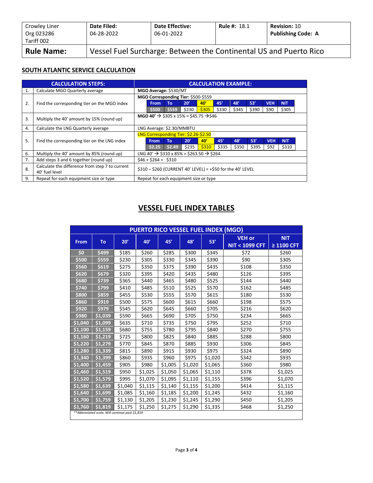| Crowley Liner<br>Org 023286<br>Tariff 002 | Date Filed:<br>04-28-2022                                         | <b>Date Effective:</b><br>06-01-2022 | <b>Rule #: 18.1</b> | <b>Revision: 10</b><br><b>Publishing Code: A</b> |  |  |  |  |
|-------------------------------------------|-------------------------------------------------------------------|--------------------------------------|---------------------|--------------------------------------------------|--|--|--|--|
| <b>Rule Name:</b>                         | Vessel Fuel Surcharge: Between the Continental US and Puerto Rico |                                      |                     |                                                  |  |  |  |  |

#### **SOUTH ATLANTIC SERVICE CALCULATION**

|    | <b>CALCULATION STEPS:</b>                                         |                                                                | <b>CALCULATION EXAMPLE:</b> |                                                                  |       |       |       |       |       |            |            |  |
|----|-------------------------------------------------------------------|----------------------------------------------------------------|-----------------------------|------------------------------------------------------------------|-------|-------|-------|-------|-------|------------|------------|--|
| 1. | Calculate MGO Quarterly average                                   | MGO Average: \$530/MT                                          |                             |                                                                  |       |       |       |       |       |            |            |  |
|    |                                                                   | MGO Corresponding Tier: \$500-\$559                            |                             |                                                                  |       |       |       |       |       |            |            |  |
| 2. | Find the corresponding tier on the MGO index                      |                                                                | <b>From</b>                 | <b>To</b>                                                        | 20'   | 40'   | 45'   | 48'   | 53'   | <b>VEH</b> | <b>NIT</b> |  |
|    |                                                                   |                                                                | \$500                       | \$559                                                            | \$230 | \$305 | \$330 | \$345 | \$390 | \$90       | \$305      |  |
| 3. | Multiply the 40' amount by 15% (round up)                         | MGO 40' $\rightarrow$ \$305 x 15% = \$45.75 $\rightarrow$ \$46 |                             |                                                                  |       |       |       |       |       |            |            |  |
| 4. | Calculate the LNG Quarterly average                               | LNG Average: \$2.30/MMBTU                                      |                             |                                                                  |       |       |       |       |       |            |            |  |
|    |                                                                   |                                                                |                             | LNG Corresponding Tier: \$2.26-\$2.50                            |       |       |       |       |       |            |            |  |
| 5. | Find the corresponding tier on the LNG index                      |                                                                | <b>From</b>                 | To                                                               | 20'   | 40'   | 45'   | 48'   | 53'   | <b>VEH</b> | <b>NIT</b> |  |
|    |                                                                   |                                                                | \$2.25                      | \$2.49                                                           | \$235 | \$310 | \$335 | \$350 | \$395 | \$92       | \$310      |  |
| 6. | Multiply the 40' amount by 85% (round up)                         |                                                                |                             | LNG 40' $\rightarrow$ \$310 x 85% = \$263.50 $\rightarrow$ \$264 |       |       |       |       |       |            |            |  |
| 7. | Add steps 3 and 6 together (round up)                             |                                                                | $$46 + $264 = $310$         |                                                                  |       |       |       |       |       |            |            |  |
| 8. | Calculate the difference from step 7 to current<br>40' fuel level | $$310 - $260$ (CURRENT 40' LEVEL) = +\$50 for the 40' LEVEL    |                             |                                                                  |       |       |       |       |       |            |            |  |
| 9. | Repeat for each equipment size or type                            |                                                                |                             | Repeat for each equipment size or type                           |       |       |       |       |       |            |            |  |

## **VESSEL FUEL INDEX TABLES**

| PUERTO RICO VESSEL FUEL INDEX (MGO) |                                                 |         |         |         |         |         |                          |                 |  |  |  |
|-------------------------------------|-------------------------------------------------|---------|---------|---------|---------|---------|--------------------------|-----------------|--|--|--|
|                                     |                                                 | 20'     | 40'     | 45'     | 48'     | 53'     | <b>VEH or</b>            | <b>NIT</b>      |  |  |  |
| From                                | To                                              |         |         |         |         |         | <b>NIT &lt; 1099 CFT</b> | $\geq$ 1100 CFT |  |  |  |
| $\mathsf{S}$                        | \$499                                           | \$185   | \$260   | \$285   | \$300   | \$345   | \$72                     | \$260           |  |  |  |
| \$500                               | \$559                                           | \$230   | \$305   | \$330   | \$345   | \$390   | \$90                     | \$305           |  |  |  |
| \$560                               | \$619                                           | \$275   | \$350   | \$375   | \$390   | \$435   | \$108                    | \$350           |  |  |  |
| \$620                               | \$679                                           | \$320   | \$395   | \$420   | \$435   | \$480   | \$126                    | \$395           |  |  |  |
| \$680                               | \$739                                           | \$365   | \$440   | \$465   | \$480   | \$525   | \$144                    | \$440           |  |  |  |
| \$740                               | \$799                                           | \$410   | \$485   | \$510   | \$525   | \$570   | \$162                    | \$485           |  |  |  |
| \$800                               | \$859                                           | \$455   | \$530   | \$555   | \$570   | \$615   | \$180                    | \$530           |  |  |  |
| \$860                               | \$919                                           | \$500   | \$575   | \$600   | \$615   | \$660   | \$198                    | \$575           |  |  |  |
| \$920                               | \$979                                           | \$545   | \$620   | \$645   | \$660   | \$705   | \$216                    | \$620           |  |  |  |
| \$980                               | \$1,039                                         | \$590   | \$665   | \$690   | \$705   | \$750   | \$234                    | \$665           |  |  |  |
| \$1,040                             | \$1.099                                         | \$635   | \$710   | \$735   | \$750   | \$795   | \$252                    | \$710           |  |  |  |
| \$1,100                             | \$1,159                                         | \$680   | \$755   | \$780   | \$795   | \$840   | \$270                    | \$755           |  |  |  |
| \$1,160                             | \$1,219                                         | \$725   | \$800   | \$825   | \$840   | \$885   | \$288                    | \$800           |  |  |  |
| \$1.220                             | \$1,279                                         | \$770   | \$845   | \$870   | \$885   | \$930   | \$306                    | \$845           |  |  |  |
| \$1,280                             | \$1,339                                         | \$815   | \$890   | \$915   | \$930   | \$975   | \$324                    | \$890           |  |  |  |
| \$1,340                             | \$1,399                                         | \$860   | \$935   | \$960   | \$975   | \$1,020 | \$342                    | \$935           |  |  |  |
| \$1,400                             | \$1,459                                         | \$905   | \$980   | \$1,005 | \$1,020 | \$1,065 | \$360                    | \$980           |  |  |  |
| \$1,460                             | \$1.519                                         | \$950   | \$1,025 | \$1,050 | \$1,065 | \$1,110 | \$378                    | \$1,025         |  |  |  |
| \$1,520                             | \$1,579                                         | \$995   | \$1,070 | \$1,095 | \$1,110 | \$1,155 | \$396                    | \$1,070         |  |  |  |
| \$1,580                             | \$1,639                                         | \$1,040 | \$1,115 | \$1,140 | \$1,155 | \$1,200 | \$414                    | \$1,115         |  |  |  |
| \$1,640                             | \$1,699                                         | \$1,085 | \$1,160 | \$1,185 | \$1,200 | \$1,245 | \$432                    | \$1,160         |  |  |  |
| \$1,700                             | \$1,759                                         | \$1,130 | \$1,205 | \$1,230 | \$1,245 | \$1,290 | \$450                    | \$1,205         |  |  |  |
| \$1,760                             | \$1,819                                         | \$1,175 | \$1,250 | \$1,275 | \$1,290 | \$1,335 | \$468                    | \$1,250         |  |  |  |
|                                     | **Abbreviated scale. Will continue past \$1,819 |         |         |         |         |         |                          |                 |  |  |  |